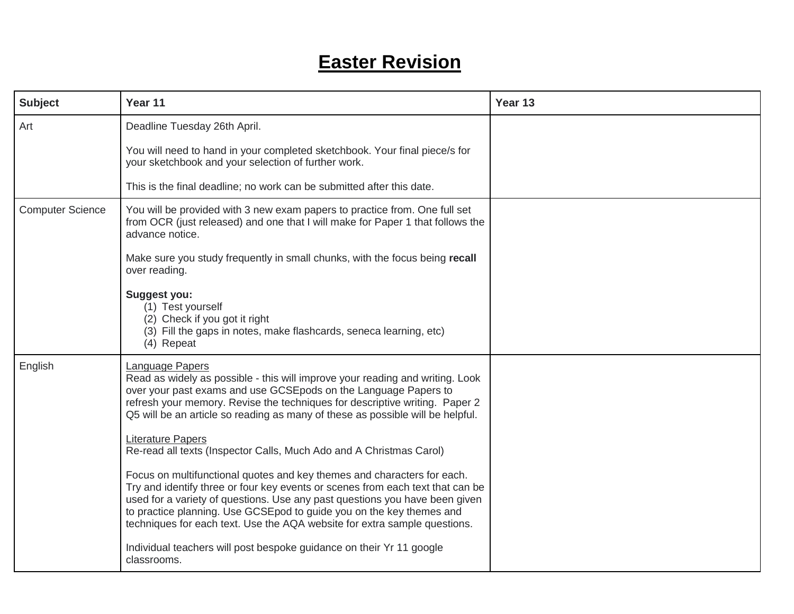## **Easter Revision**

| <b>Subject</b>          | Year 11                                                                                                                                                                                                                                                                                                                                                                                                                                 | Year 13 |
|-------------------------|-----------------------------------------------------------------------------------------------------------------------------------------------------------------------------------------------------------------------------------------------------------------------------------------------------------------------------------------------------------------------------------------------------------------------------------------|---------|
| Art                     | Deadline Tuesday 26th April.                                                                                                                                                                                                                                                                                                                                                                                                            |         |
|                         | You will need to hand in your completed sketchbook. Your final piece/s for<br>your sketchbook and your selection of further work.                                                                                                                                                                                                                                                                                                       |         |
|                         | This is the final deadline; no work can be submitted after this date.                                                                                                                                                                                                                                                                                                                                                                   |         |
| <b>Computer Science</b> | You will be provided with 3 new exam papers to practice from. One full set<br>from OCR (just released) and one that I will make for Paper 1 that follows the<br>advance notice.                                                                                                                                                                                                                                                         |         |
|                         | Make sure you study frequently in small chunks, with the focus being recall<br>over reading.                                                                                                                                                                                                                                                                                                                                            |         |
|                         | <b>Suggest you:</b><br>(1) Test yourself<br>(2) Check if you got it right<br>(3) Fill the gaps in notes, make flashcards, seneca learning, etc)<br>(4) Repeat                                                                                                                                                                                                                                                                           |         |
| English                 | <b>Language Papers</b><br>Read as widely as possible - this will improve your reading and writing. Look<br>over your past exams and use GCSEpods on the Language Papers to<br>refresh your memory. Revise the techniques for descriptive writing. Paper 2<br>Q5 will be an article so reading as many of these as possible will be helpful.<br>Literature Papers<br>Re-read all texts (Inspector Calls, Much Ado and A Christmas Carol) |         |
|                         | Focus on multifunctional quotes and key themes and characters for each.<br>Try and identify three or four key events or scenes from each text that can be<br>used for a variety of questions. Use any past questions you have been given<br>to practice planning. Use GCSEpod to guide you on the key themes and<br>techniques for each text. Use the AQA website for extra sample questions.                                           |         |
|                         | Individual teachers will post bespoke guidance on their Yr 11 google<br>classrooms.                                                                                                                                                                                                                                                                                                                                                     |         |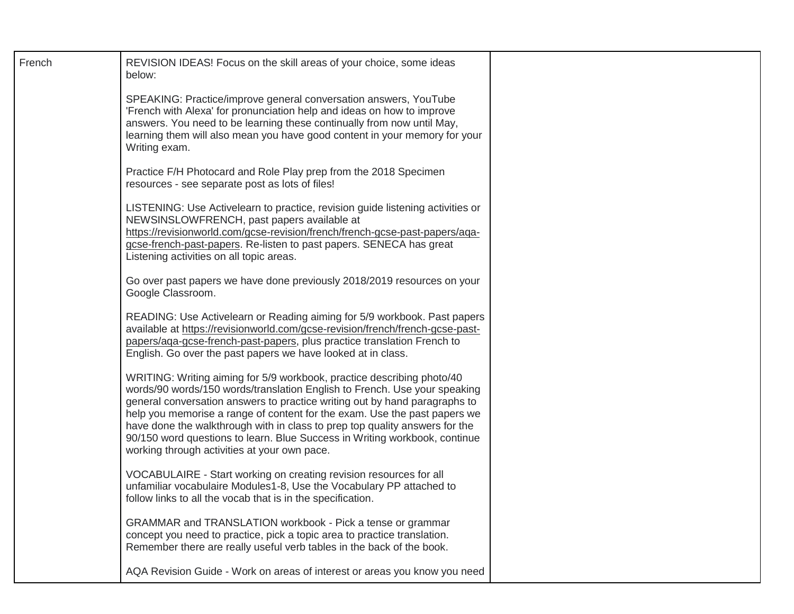| French | REVISION IDEAS! Focus on the skill areas of your choice, some ideas<br>below:                                                                                                                                                                                                                                                                                                                                                                                                                                               |  |
|--------|-----------------------------------------------------------------------------------------------------------------------------------------------------------------------------------------------------------------------------------------------------------------------------------------------------------------------------------------------------------------------------------------------------------------------------------------------------------------------------------------------------------------------------|--|
|        | SPEAKING: Practice/improve general conversation answers, YouTube<br>'French with Alexa' for pronunciation help and ideas on how to improve<br>answers. You need to be learning these continually from now until May,<br>learning them will also mean you have good content in your memory for your<br>Writing exam.                                                                                                                                                                                                         |  |
|        | Practice F/H Photocard and Role Play prep from the 2018 Specimen<br>resources - see separate post as lots of files!                                                                                                                                                                                                                                                                                                                                                                                                         |  |
|        | LISTENING: Use Activelearn to practice, revision guide listening activities or<br>NEWSINSLOWFRENCH, past papers available at<br>https://revisionworld.com/gcse-revision/french/french-gcse-past-papers/aqa-<br>gcse-french-past-papers. Re-listen to past papers. SENECA has great<br>Listening activities on all topic areas.                                                                                                                                                                                              |  |
|        | Go over past papers we have done previously 2018/2019 resources on your<br>Google Classroom.                                                                                                                                                                                                                                                                                                                                                                                                                                |  |
|        | READING: Use Activelearn or Reading aiming for 5/9 workbook. Past papers<br>available at https://revisionworld.com/gcse-revision/french/french-gcse-past-<br>papers/aga-gcse-french-past-papers, plus practice translation French to<br>English. Go over the past papers we have looked at in class.                                                                                                                                                                                                                        |  |
|        | WRITING: Writing aiming for 5/9 workbook, practice describing photo/40<br>words/90 words/150 words/translation English to French. Use your speaking<br>general conversation answers to practice writing out by hand paragraphs to<br>help you memorise a range of content for the exam. Use the past papers we<br>have done the walkthrough with in class to prep top quality answers for the<br>90/150 word questions to learn. Blue Success in Writing workbook, continue<br>working through activities at your own pace. |  |
|        | VOCABULAIRE - Start working on creating revision resources for all<br>unfamiliar vocabulaire Modules1-8, Use the Vocabulary PP attached to<br>follow links to all the vocab that is in the specification.                                                                                                                                                                                                                                                                                                                   |  |
|        | GRAMMAR and TRANSLATION workbook - Pick a tense or grammar<br>concept you need to practice, pick a topic area to practice translation.<br>Remember there are really useful verb tables in the back of the book.                                                                                                                                                                                                                                                                                                             |  |
|        | AQA Revision Guide - Work on areas of interest or areas you know you need                                                                                                                                                                                                                                                                                                                                                                                                                                                   |  |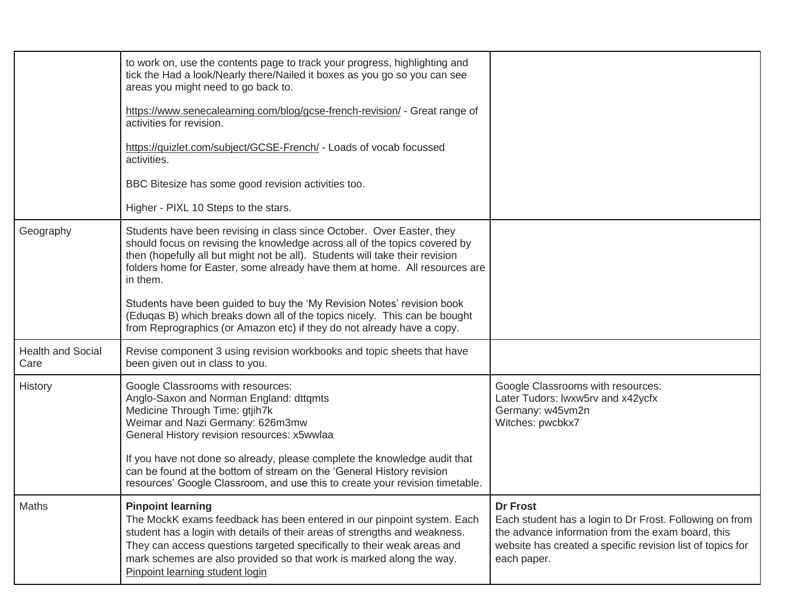|                                  | to work on, use the contents page to track your progress, highlighting and<br>tick the Had a look/Nearly there/Nailed it boxes as you go so you can see<br>areas you might need to go back to.                                                                                                                                                                         |                                                                                                                                                                                                              |
|----------------------------------|------------------------------------------------------------------------------------------------------------------------------------------------------------------------------------------------------------------------------------------------------------------------------------------------------------------------------------------------------------------------|--------------------------------------------------------------------------------------------------------------------------------------------------------------------------------------------------------------|
|                                  | https://www.senecalearning.com/blog/gcse-french-revision/ - Great range of<br>activities for revision.                                                                                                                                                                                                                                                                 |                                                                                                                                                                                                              |
|                                  | https://quizlet.com/subject/GCSE-French/ - Loads of vocab focussed<br>activities.                                                                                                                                                                                                                                                                                      |                                                                                                                                                                                                              |
|                                  | BBC Bitesize has some good revision activities too.                                                                                                                                                                                                                                                                                                                    |                                                                                                                                                                                                              |
|                                  | Higher - PIXL 10 Steps to the stars.                                                                                                                                                                                                                                                                                                                                   |                                                                                                                                                                                                              |
| Geography                        | Students have been revising in class since October. Over Easter, they<br>should focus on revising the knowledge across all of the topics covered by<br>then (hopefully all but might not be all). Students will take their revision<br>folders home for Easter, some already have them at home. All resources are<br>in them.                                          |                                                                                                                                                                                                              |
|                                  | Students have been guided to buy the 'My Revision Notes' revision book<br>(Eduqas B) which breaks down all of the topics nicely. This can be bought<br>from Reprographics (or Amazon etc) if they do not already have a copy.                                                                                                                                          |                                                                                                                                                                                                              |
| <b>Health and Social</b><br>Care | Revise component 3 using revision workbooks and topic sheets that have<br>been given out in class to you.                                                                                                                                                                                                                                                              |                                                                                                                                                                                                              |
| History                          | Google Classrooms with resources:<br>Anglo-Saxon and Norman England: dttqmts<br>Medicine Through Time: gtjih7k<br>Weimar and Nazi Germany: 626m3mw<br>General History revision resources: x5wwlaa<br>If you have not done so already, please complete the knowledge audit that                                                                                         | Google Classrooms with resources:<br>Later Tudors: lwxw5rv and x42ycfx<br>Germany: w45vm2n<br>Witches: pwcbkx7                                                                                               |
|                                  | can be found at the bottom of stream on the 'General History revision<br>resources' Google Classroom, and use this to create your revision timetable.                                                                                                                                                                                                                  |                                                                                                                                                                                                              |
| Maths                            | <b>Pinpoint learning</b><br>The MockK exams feedback has been entered in our pinpoint system. Each<br>student has a login with details of their areas of strengths and weakness.<br>They can access questions targeted specifically to their weak areas and<br>mark schemes are also provided so that work is marked along the way.<br>Pinpoint learning student login | <b>Dr Frost</b><br>Each student has a login to Dr Frost. Following on from<br>the advance information from the exam board, this<br>website has created a specific revision list of topics for<br>each paper. |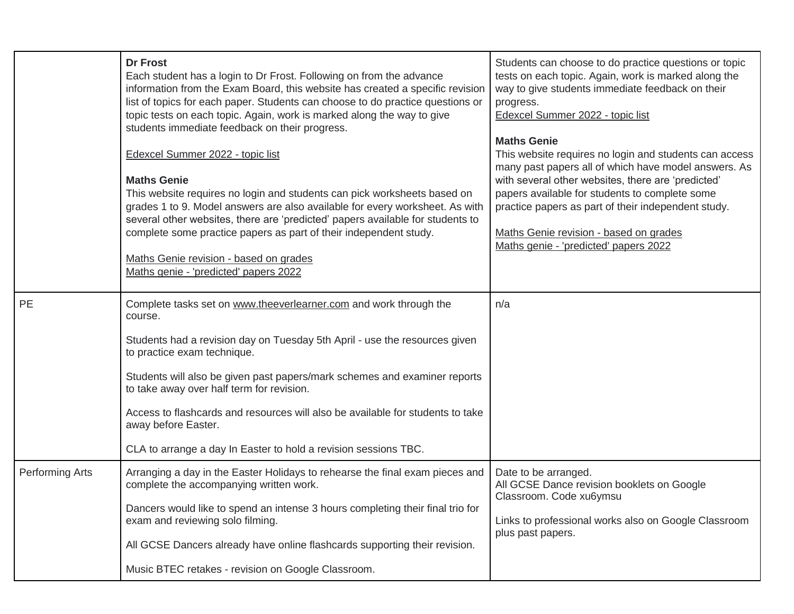|                 | <b>Dr Frost</b><br>Each student has a login to Dr Frost. Following on from the advance<br>information from the Exam Board, this website has created a specific revision<br>list of topics for each paper. Students can choose to do practice questions or<br>topic tests on each topic. Again, work is marked along the way to give<br>students immediate feedback on their progress.<br>Edexcel Summer 2022 - topic list<br><b>Maths Genie</b><br>This website requires no login and students can pick worksheets based on<br>grades 1 to 9. Model answers are also available for every worksheet. As with<br>several other websites, there are 'predicted' papers available for students to<br>complete some practice papers as part of their independent study.<br>Maths Genie revision - based on grades<br>Maths genie - 'predicted' papers 2022 | Students can choose to do practice questions or topic<br>tests on each topic. Again, work is marked along the<br>way to give students immediate feedback on their<br>progress.<br>Edexcel Summer 2022 - topic list<br><b>Maths Genie</b><br>This website requires no login and students can access<br>many past papers all of which have model answers. As<br>with several other websites, there are 'predicted'<br>papers available for students to complete some<br>practice papers as part of their independent study.<br>Maths Genie revision - based on grades<br>Maths genie - 'predicted' papers 2022 |
|-----------------|-------------------------------------------------------------------------------------------------------------------------------------------------------------------------------------------------------------------------------------------------------------------------------------------------------------------------------------------------------------------------------------------------------------------------------------------------------------------------------------------------------------------------------------------------------------------------------------------------------------------------------------------------------------------------------------------------------------------------------------------------------------------------------------------------------------------------------------------------------|--------------------------------------------------------------------------------------------------------------------------------------------------------------------------------------------------------------------------------------------------------------------------------------------------------------------------------------------------------------------------------------------------------------------------------------------------------------------------------------------------------------------------------------------------------------------------------------------------------------|
| PE              | Complete tasks set on www.theeverlearner.com and work through the<br>course.<br>Students had a revision day on Tuesday 5th April - use the resources given<br>to practice exam technique.<br>Students will also be given past papers/mark schemes and examiner reports<br>to take away over half term for revision.<br>Access to flashcards and resources will also be available for students to take<br>away before Easter.<br>CLA to arrange a day In Easter to hold a revision sessions TBC.                                                                                                                                                                                                                                                                                                                                                       | n/a                                                                                                                                                                                                                                                                                                                                                                                                                                                                                                                                                                                                          |
| Performing Arts | Arranging a day in the Easter Holidays to rehearse the final exam pieces and<br>complete the accompanying written work.<br>Dancers would like to spend an intense 3 hours completing their final trio for<br>exam and reviewing solo filming.<br>All GCSE Dancers already have online flashcards supporting their revision.<br>Music BTEC retakes - revision on Google Classroom.                                                                                                                                                                                                                                                                                                                                                                                                                                                                     | Date to be arranged.<br>All GCSE Dance revision booklets on Google<br>Classroom. Code xu6ymsu<br>Links to professional works also on Google Classroom<br>plus past papers.                                                                                                                                                                                                                                                                                                                                                                                                                                   |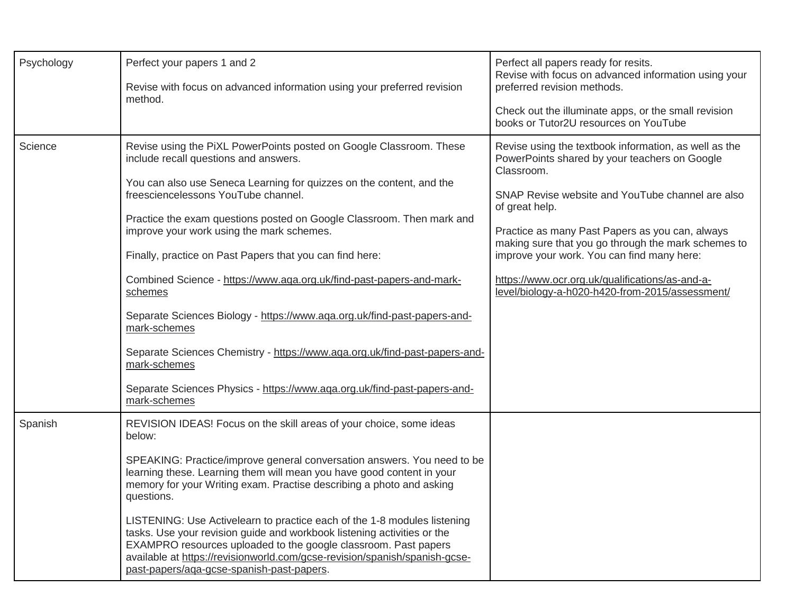| Psychology | Perfect your papers 1 and 2                                                                                                                                                                                                                                                                                                                       | Perfect all papers ready for resits.<br>Revise with focus on advanced information using your                         |
|------------|---------------------------------------------------------------------------------------------------------------------------------------------------------------------------------------------------------------------------------------------------------------------------------------------------------------------------------------------------|----------------------------------------------------------------------------------------------------------------------|
|            | Revise with focus on advanced information using your preferred revision<br>method.                                                                                                                                                                                                                                                                | preferred revision methods.                                                                                          |
|            |                                                                                                                                                                                                                                                                                                                                                   | Check out the illuminate apps, or the small revision<br>books or Tutor2U resources on YouTube                        |
| Science    | Revise using the PiXL PowerPoints posted on Google Classroom. These<br>include recall questions and answers.                                                                                                                                                                                                                                      | Revise using the textbook information, as well as the<br>PowerPoints shared by your teachers on Google<br>Classroom. |
|            | You can also use Seneca Learning for quizzes on the content, and the<br>freesciencelessons YouTube channel.                                                                                                                                                                                                                                       | SNAP Revise website and YouTube channel are also<br>of great help.                                                   |
|            | Practice the exam questions posted on Google Classroom. Then mark and<br>improve your work using the mark schemes.                                                                                                                                                                                                                                | Practice as many Past Papers as you can, always<br>making sure that you go through the mark schemes to               |
|            | Finally, practice on Past Papers that you can find here:                                                                                                                                                                                                                                                                                          | improve your work. You can find many here:                                                                           |
|            | Combined Science - https://www.aqa.org.uk/find-past-papers-and-mark-<br>schemes                                                                                                                                                                                                                                                                   | https://www.ocr.org.uk/qualifications/as-and-a-<br>level/biology-a-h020-h420-from-2015/assessment/                   |
|            | Separate Sciences Biology - https://www.aqa.org.uk/find-past-papers-and-<br>mark-schemes                                                                                                                                                                                                                                                          |                                                                                                                      |
|            | Separate Sciences Chemistry - https://www.aqa.org.uk/find-past-papers-and-<br>mark-schemes                                                                                                                                                                                                                                                        |                                                                                                                      |
|            | Separate Sciences Physics - https://www.aqa.org.uk/find-past-papers-and-<br>mark-schemes                                                                                                                                                                                                                                                          |                                                                                                                      |
| Spanish    | REVISION IDEAS! Focus on the skill areas of your choice, some ideas<br>below:                                                                                                                                                                                                                                                                     |                                                                                                                      |
|            | SPEAKING: Practice/improve general conversation answers. You need to be<br>learning these. Learning them will mean you have good content in your<br>memory for your Writing exam. Practise describing a photo and asking<br>questions.                                                                                                            |                                                                                                                      |
|            | LISTENING: Use Activelearn to practice each of the 1-8 modules listening<br>tasks. Use your revision guide and workbook listening activities or the<br>EXAMPRO resources uploaded to the google classroom. Past papers<br>available at https://revisionworld.com/gcse-revision/spanish/spanish-gcse-<br>past-papers/aga-gcse-spanish-past-papers. |                                                                                                                      |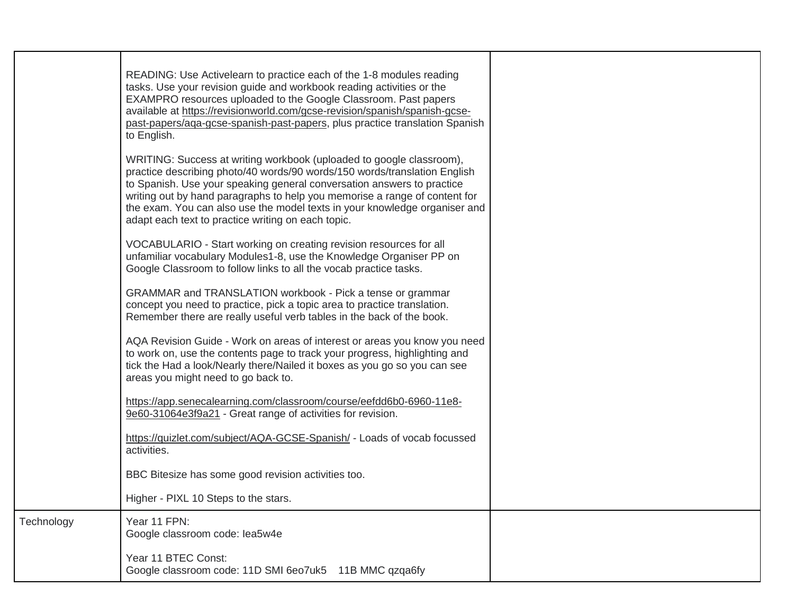|            | READING: Use Activelearn to practice each of the 1-8 modules reading<br>tasks. Use your revision guide and workbook reading activities or the<br>EXAMPRO resources uploaded to the Google Classroom. Past papers<br>available at https://revisionworld.com/gcse-revision/spanish/spanish-gcse-<br>past-papers/aga-gcse-spanish-past-papers, plus practice translation Spanish<br>to English.                                                  |  |
|------------|-----------------------------------------------------------------------------------------------------------------------------------------------------------------------------------------------------------------------------------------------------------------------------------------------------------------------------------------------------------------------------------------------------------------------------------------------|--|
|            | WRITING: Success at writing workbook (uploaded to google classroom),<br>practice describing photo/40 words/90 words/150 words/translation English<br>to Spanish. Use your speaking general conversation answers to practice<br>writing out by hand paragraphs to help you memorise a range of content for<br>the exam. You can also use the model texts in your knowledge organiser and<br>adapt each text to practice writing on each topic. |  |
|            | VOCABULARIO - Start working on creating revision resources for all<br>unfamiliar vocabulary Modules1-8, use the Knowledge Organiser PP on<br>Google Classroom to follow links to all the vocab practice tasks.                                                                                                                                                                                                                                |  |
|            | GRAMMAR and TRANSLATION workbook - Pick a tense or grammar<br>concept you need to practice, pick a topic area to practice translation.<br>Remember there are really useful verb tables in the back of the book.                                                                                                                                                                                                                               |  |
|            | AQA Revision Guide - Work on areas of interest or areas you know you need<br>to work on, use the contents page to track your progress, highlighting and<br>tick the Had a look/Nearly there/Nailed it boxes as you go so you can see<br>areas you might need to go back to.                                                                                                                                                                   |  |
|            | https://app.senecalearning.com/classroom/course/eefdd6b0-6960-11e8-<br>9e60-31064e3f9a21 - Great range of activities for revision.                                                                                                                                                                                                                                                                                                            |  |
|            | https://quizlet.com/subject/AQA-GCSE-Spanish/ - Loads of vocab focussed<br>activities.                                                                                                                                                                                                                                                                                                                                                        |  |
|            | BBC Bitesize has some good revision activities too.                                                                                                                                                                                                                                                                                                                                                                                           |  |
|            | Higher - PIXL 10 Steps to the stars.                                                                                                                                                                                                                                                                                                                                                                                                          |  |
| Technology | Year 11 FPN:<br>Google classroom code: lea5w4e                                                                                                                                                                                                                                                                                                                                                                                                |  |
|            | Year 11 BTEC Const:<br>Google classroom code: 11D SMI 6eo7uk5 11B MMC qzqa6fy                                                                                                                                                                                                                                                                                                                                                                 |  |